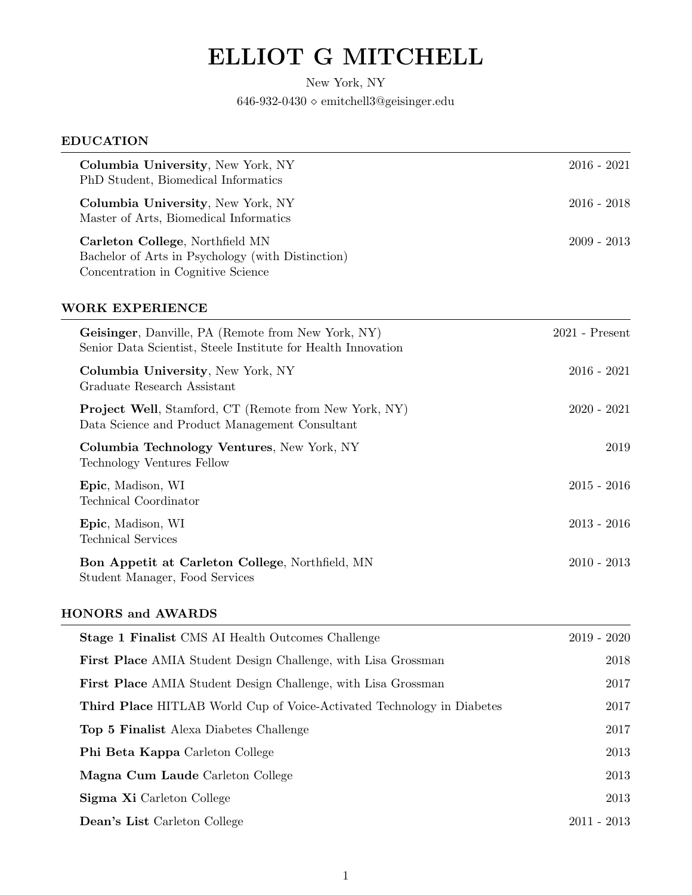# ELLIOT G MITCHELL

New York, NY  $646\text{-}932\text{-}0430$ <br/> $\diamond$ emitchell $3@$ geisinger.edu

| <b>EDUCATION</b>                                                                                                            |                  |
|-----------------------------------------------------------------------------------------------------------------------------|------------------|
| Columbia University, New York, NY<br>PhD Student, Biomedical Informatics                                                    | $2016 - 2021$    |
| Columbia University, New York, NY<br>Master of Arts, Biomedical Informatics                                                 | $2016 - 2018$    |
| Carleton College, Northfield MN<br>Bachelor of Arts in Psychology (with Distinction)<br>Concentration in Cognitive Science  | $2009 - 2013$    |
| <b>WORK EXPERIENCE</b>                                                                                                      |                  |
| <b>Geisinger</b> , Danville, PA (Remote from New York, NY)<br>Senior Data Scientist, Steele Institute for Health Innovation | $2021$ - Present |
| Columbia University, New York, NY<br>Graduate Research Assistant                                                            | $2016 - 2021$    |
| <b>Project Well</b> , Stamford, CT (Remote from New York, NY)<br>Data Science and Product Management Consultant             | $2020 - 2021$    |
| Columbia Technology Ventures, New York, NY<br>Technology Ventures Fellow                                                    | 2019             |
| Epic, Madison, WI<br>Technical Coordinator                                                                                  | $2015 - 2016$    |
| Epic, Madison, WI<br><b>Technical Services</b>                                                                              | $2013 - 2016$    |
| Bon Appetit at Carleton College, Northfield, MN<br>Student Manager, Food Services                                           | $2010 - 2013$    |

## HONORS and AWARDS

| <b>Stage 1 Finalist</b> CMS AI Health Outcomes Challenge                      | $2019 - 2020$ |
|-------------------------------------------------------------------------------|---------------|
| <b>First Place</b> AMIA Student Design Challenge, with Lisa Grossman          | 2018          |
| <b>First Place</b> AMIA Student Design Challenge, with Lisa Grossman          | 2017          |
| <b>Third Place HITLAB</b> World Cup of Voice-Activated Technology in Diabetes | 2017          |
| Top 5 Finalist Alexa Diabetes Challenge                                       | 2017          |
| <b>Phi Beta Kappa</b> Carleton College                                        | 2013          |
| Magna Cum Laude Carleton College                                              | 2013          |
| Sigma Xi Carleton College                                                     | 2013          |
| <b>Dean's List</b> Carleton College                                           | $2011 - 2013$ |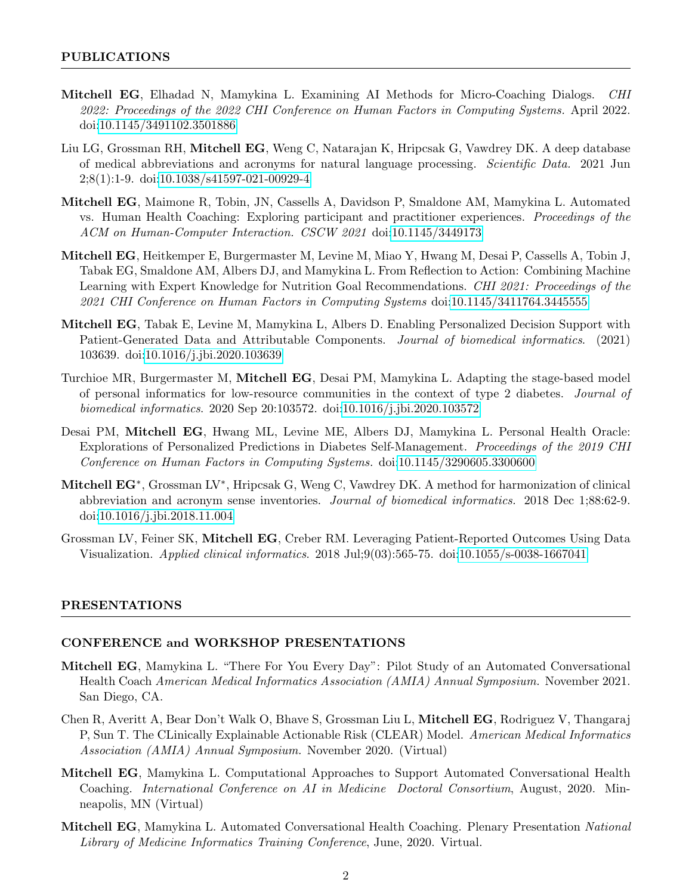- Mitchell EG, Elhadad N, Mamykina L. Examining AI Methods for Micro-Coaching Dialogs. CHI 2022: Proceedings of the 2022 CHI Conference on Human Factors in Computing Systems. April 2022. doi[:10.1145/3491102.3501886](http://dx.doi.org/10.1145/3491102.3501886)
- Liu LG, Grossman RH, Mitchell EG, Weng C, Natarajan K, Hripcsak G, Vawdrey DK. A deep database of medical abbreviations and acronyms for natural language processing. Scientific Data. 2021 Jun 2;8(1):1-9. doi[:10.1038/s41597-021-00929-4](http://dx.doi.org/10.1038/s41597-021-00929-4)
- Mitchell EG, Maimone R, Tobin, JN, Cassells A, Davidson P, Smaldone AM, Mamykina L. Automated vs. Human Health Coaching: Exploring participant and practitioner experiences. Proceedings of the ACM on Human-Computer Interaction. CSCW 2021 doi[:10.1145/3449173](http://dx.doi.org/10.1145/3449173)
- Mitchell EG, Heitkemper E, Burgermaster M, Levine M, Miao Y, Hwang M, Desai P, Cassells A, Tobin J, Tabak EG, Smaldone AM, Albers DJ, and Mamykina L. From Reflection to Action: Combining Machine Learning with Expert Knowledge for Nutrition Goal Recommendations. CHI 2021: Proceedings of the 2021 CHI Conference on Human Factors in Computing Systems doi[:10.1145/3411764.3445555](http://dx.doi.org/10.1145/3411764.3445555)
- Mitchell EG, Tabak E, Levine M, Mamykina L, Albers D. Enabling Personalized Decision Support with Patient-Generated Data and Attributable Components. *Journal of biomedical informatics.* (2021) 103639. doi[:10.1016/j.jbi.2020.103639](http://dx.doi.org/10.1016/j.jbi.2020.103639)
- Turchioe MR, Burgermaster M, Mitchell EG, Desai PM, Mamykina L. Adapting the stage-based model of personal informatics for low-resource communities in the context of type 2 diabetes. Journal of biomedical informatics. 2020 Sep 20:103572. doi[:10.1016/j.jbi.2020.103572](http://dx.doi.org/10.1016/j.jbi.2020.103572)
- Desai PM, Mitchell EG, Hwang ML, Levine ME, Albers DJ, Mamykina L. Personal Health Oracle: Explorations of Personalized Predictions in Diabetes Self-Management. Proceedings of the 2019 CHI Conference on Human Factors in Computing Systems. doi[:10.1145/3290605.3300600](http://dx.doi.org/10.1145/3290605.3300600)
- Mitchell EG<sup>\*</sup>, Grossman LV<sup>\*</sup>, Hripcsak G, Weng C, Vawdrey DK. A method for harmonization of clinical abbreviation and acronym sense inventories. Journal of biomedical informatics. 2018 Dec 1;88:62-9. doi[:10.1016/j.jbi.2018.11.004](http://dx.doi.org/10.1016/j.jbi.2018.11.004)
- Grossman LV, Feiner SK, Mitchell EG, Creber RM. Leveraging Patient-Reported Outcomes Using Data Visualization. Applied clinical informatics. 2018 Jul;9(03):565-75. doi[:10.1055/s-0038-1667041](http://dx.doi.org/10.1055/s-0038-1667041)

#### PRESENTATIONS

#### CONFERENCE and WORKSHOP PRESENTATIONS

- Mitchell EG, Mamykina L. "There For You Every Day": Pilot Study of an Automated Conversational Health Coach American Medical Informatics Association (AMIA) Annual Symposium. November 2021. San Diego, CA.
- Chen R, Averitt A, Bear Don't Walk O, Bhave S, Grossman Liu L, Mitchell EG, Rodriguez V, Thangaraj P, Sun T. The CLinically Explainable Actionable Risk (CLEAR) Model. American Medical Informatics Association (AMIA) Annual Symposium. November 2020. (Virtual)
- Mitchell EG, Mamykina L. Computational Approaches to Support Automated Conversational Health Coaching. International Conference on AI in Medicine Doctoral Consortium, August, 2020. Minneapolis, MN (Virtual)
- Mitchell EG, Mamykina L. Automated Conversational Health Coaching. Plenary Presentation National Library of Medicine Informatics Training Conference, June, 2020. Virtual.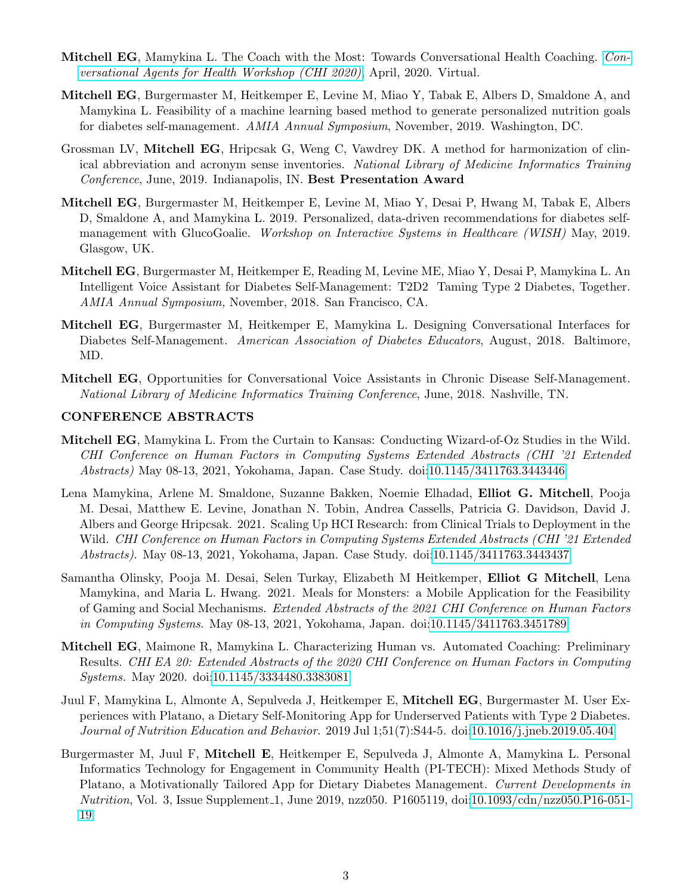- Mitchell EG, Mamykina L. The Coach with the Most: Towards Conversational Health Coaching. [Con](http://casforhealth.org/position-papers/)[versational Agents for Health Workshop \(CHI 2020\)](http://casforhealth.org/position-papers/), April, 2020. Virtual.
- Mitchell EG, Burgermaster M, Heitkemper E, Levine M, Miao Y, Tabak E, Albers D, Smaldone A, and Mamykina L. Feasibility of a machine learning based method to generate personalized nutrition goals for diabetes self-management. AMIA Annual Symposium, November, 2019. Washington, DC.
- Grossman LV, Mitchell EG, Hripcsak G, Weng C, Vawdrey DK. A method for harmonization of clinical abbreviation and acronym sense inventories. National Library of Medicine Informatics Training Conference, June, 2019. Indianapolis, IN. Best Presentation Award
- Mitchell EG, Burgermaster M, Heitkemper E, Levine M, Miao Y, Desai P, Hwang M, Tabak E, Albers D, Smaldone A, and Mamykina L. 2019. Personalized, data-driven recommendations for diabetes selfmanagement with GlucoGoalie. Workshop on Interactive Systems in Healthcare (WISH) May, 2019. Glasgow, UK.
- Mitchell EG, Burgermaster M, Heitkemper E, Reading M, Levine ME, Miao Y, Desai P, Mamykina L. An Intelligent Voice Assistant for Diabetes Self-Management: T2D2 Taming Type 2 Diabetes, Together. AMIA Annual Symposium, November, 2018. San Francisco, CA.
- Mitchell EG, Burgermaster M, Heitkemper E, Mamykina L. Designing Conversational Interfaces for Diabetes Self-Management. American Association of Diabetes Educators, August, 2018. Baltimore, MD.
- Mitchell EG, Opportunities for Conversational Voice Assistants in Chronic Disease Self-Management. National Library of Medicine Informatics Training Conference, June, 2018. Nashville, TN.

#### CONFERENCE ABSTRACTS

- Mitchell EG, Mamykina L. From the Curtain to Kansas: Conducting Wizard-of-Oz Studies in the Wild. CHI Conference on Human Factors in Computing Systems Extended Abstracts (CHI '21 Extended Abstracts) May 08-13, 2021, Yokohama, Japan. Case Study. doi[:10.1145/3411763.3443446](http://dx.doi.org/10.1145/3411763.3443446)
- Lena Mamykina, Arlene M. Smaldone, Suzanne Bakken, Noemie Elhadad, Elliot G. Mitchell, Pooja M. Desai, Matthew E. Levine, Jonathan N. Tobin, Andrea Cassells, Patricia G. Davidson, David J. Albers and George Hripcsak. 2021. Scaling Up HCI Research: from Clinical Trials to Deployment in the Wild. CHI Conference on Human Factors in Computing Systems Extended Abstracts (CHI '21 Extended Abstracts). May 08-13, 2021, Yokohama, Japan. Case Study. doi[:10.1145/3411763.3443437](http://dx.doi.org/10.1145/3411763.3443437)
- Samantha Olinsky, Pooja M. Desai, Selen Turkay, Elizabeth M Heitkemper, Elliot G Mitchell, Lena Mamykina, and Maria L. Hwang. 2021. Meals for Monsters: a Mobile Application for the Feasibility of Gaming and Social Mechanisms. Extended Abstracts of the 2021 CHI Conference on Human Factors in Computing Systems. May 08-13, 2021, Yokohama, Japan. doi[:10.1145/3411763.3451789](http://dx.doi.org/10.1145/3411763.3451789)
- Mitchell EG, Maimone R, Mamykina L. Characterizing Human vs. Automated Coaching: Preliminary Results. CHI EA 20: Extended Abstracts of the 2020 CHI Conference on Human Factors in Computing Systems. May 2020. doi[:10.1145/3334480.3383081](http://dx.doi.org/10.1145/3334480.3383081)
- Juul F, Mamykina L, Almonte A, Sepulveda J, Heitkemper E, Mitchell EG, Burgermaster M. User Experiences with Platano, a Dietary Self-Monitoring App for Underserved Patients with Type 2 Diabetes. Journal of Nutrition Education and Behavior. 2019 Jul 1;51(7):S44-5. doi[:10.1016/j.jneb.2019.05.404](http://dx.doi.org/10.1016/j.jneb.2019.05.404)
- Burgermaster M, Juul F, Mitchell E, Heitkemper E, Sepulveda J, Almonte A, Mamykina L. Personal Informatics Technology for Engagement in Community Health (PI-TECH): Mixed Methods Study of Platano, a Motivationally Tailored App for Dietary Diabetes Management. Current Developments in Nutrition, Vol. 3, Issue Supplement 1, June 2019, nzz050. P1605119, doi[:10.1093/cdn/nzz050.P16-051-](http://dx.doi.org/10.1093/cdn/nzz050.P16-051-19) [19](http://dx.doi.org/10.1093/cdn/nzz050.P16-051-19)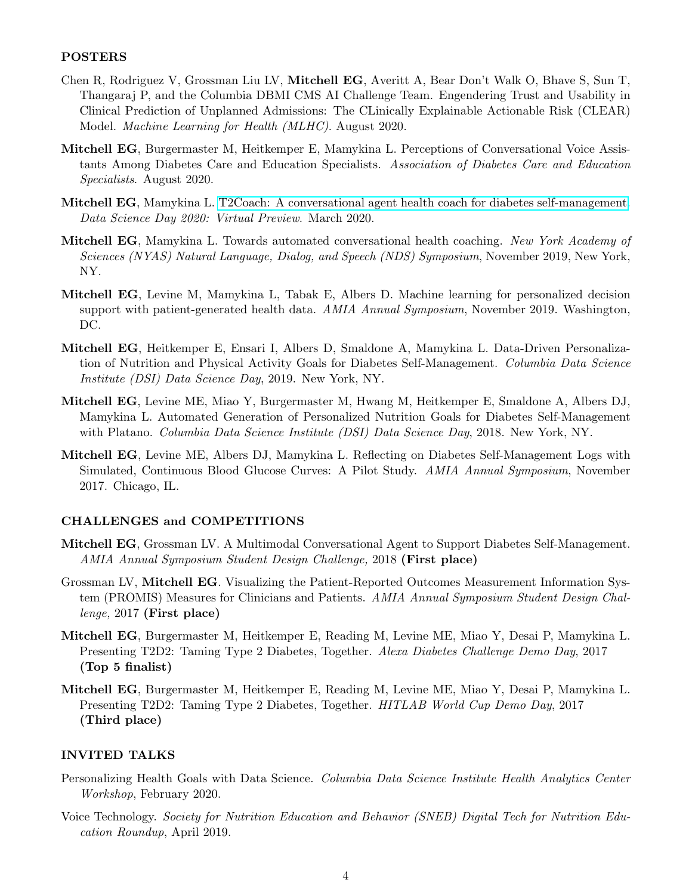#### POSTERS

- Chen R, Rodriguez V, Grossman Liu LV, Mitchell EG, Averitt A, Bear Don't Walk O, Bhave S, Sun T, Thangaraj P, and the Columbia DBMI CMS AI Challenge Team. Engendering Trust and Usability in Clinical Prediction of Unplanned Admissions: The CLinically Explainable Actionable Risk (CLEAR) Model. Machine Learning for Health (MLHC). August 2020.
- Mitchell EG, Burgermaster M, Heitkemper E, Mamykina L. Perceptions of Conversational Voice Assistants Among Diabetes Care and Education Specialists. Association of Diabetes Care and Education Specialists. August 2020.
- Mitchell EG, Mamykina L. [T2Coach: A conversational agent health coach for diabetes self-management.](https://www.datascienceday.net/poster-session/team-12) Data Science Day 2020: Virtual Preview. March 2020.
- Mitchell EG, Mamykina L. Towards automated conversational health coaching. New York Academy of Sciences (NYAS) Natural Language, Dialog, and Speech (NDS) Symposium, November 2019, New York, NY.
- Mitchell EG, Levine M, Mamykina L, Tabak E, Albers D. Machine learning for personalized decision support with patient-generated health data. AMIA Annual Symposium, November 2019. Washington, DC.
- Mitchell EG, Heitkemper E, Ensari I, Albers D, Smaldone A, Mamykina L. Data-Driven Personalization of Nutrition and Physical Activity Goals for Diabetes Self-Management. Columbia Data Science Institute (DSI) Data Science Day, 2019. New York, NY.
- Mitchell EG, Levine ME, Miao Y, Burgermaster M, Hwang M, Heitkemper E, Smaldone A, Albers DJ, Mamykina L. Automated Generation of Personalized Nutrition Goals for Diabetes Self-Management with Platano. *Columbia Data Science Institute (DSI) Data Science Day*, 2018. New York, NY.
- Mitchell EG, Levine ME, Albers DJ, Mamykina L. Reflecting on Diabetes Self-Management Logs with Simulated, Continuous Blood Glucose Curves: A Pilot Study. AMIA Annual Symposium, November 2017. Chicago, IL.

#### CHALLENGES and COMPETITIONS

- Mitchell EG, Grossman LV. A Multimodal Conversational Agent to Support Diabetes Self-Management. AMIA Annual Symposium Student Design Challenge, 2018 (First place)
- Grossman LV, Mitchell EG. Visualizing the Patient-Reported Outcomes Measurement Information System (PROMIS) Measures for Clinicians and Patients. AMIA Annual Symposium Student Design Challenge, 2017 (First place)
- Mitchell EG, Burgermaster M, Heitkemper E, Reading M, Levine ME, Miao Y, Desai P, Mamykina L. Presenting T2D2: Taming Type 2 Diabetes, Together. Alexa Diabetes Challenge Demo Day, 2017 (Top 5 finalist)
- Mitchell EG, Burgermaster M, Heitkemper E, Reading M, Levine ME, Miao Y, Desai P, Mamykina L. Presenting T2D2: Taming Type 2 Diabetes, Together. HITLAB World Cup Demo Day, 2017 (Third place)

#### INVITED TALKS

- Personalizing Health Goals with Data Science. Columbia Data Science Institute Health Analytics Center Workshop, February 2020.
- Voice Technology. Society for Nutrition Education and Behavior (SNEB) Digital Tech for Nutrition Education Roundup, April 2019.